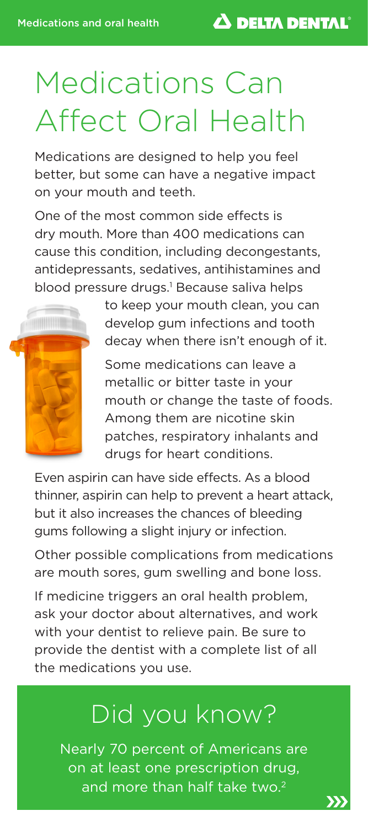# Medications Can Affect Oral Health

Medications are designed to help you feel better, but some can have a negative impact on your mouth and teeth.

One of the most common side effects is dry mouth. More than 400 medications can cause this condition, including decongestants, antidepressants, sedatives, antihistamines and blood pressure drugs.<sup>1</sup> Because saliva helps



to keep your mouth clean, you can develop gum infections and tooth decay when there isn't enough of it.

Some medications can leave a metallic or bitter taste in your mouth or change the taste of foods. Among them are nicotine skin patches, respiratory inhalants and drugs for heart conditions.

Even aspirin can have side effects. As a blood thinner, aspirin can help to prevent a heart attack, but it also increases the chances of bleeding gums following a slight injury or infection.

Other possible complications from medications are mouth sores, gum swelling and bone loss.

If medicine triggers an oral health problem, ask your doctor about alternatives, and work with your dentist to relieve pain. Be sure to provide the dentist with a complete list of all the medications you use.

### Did you know?

Nearly 70 percent of Americans are on at least one prescription drug, and more than half take two.<sup>2</sup>

XX)